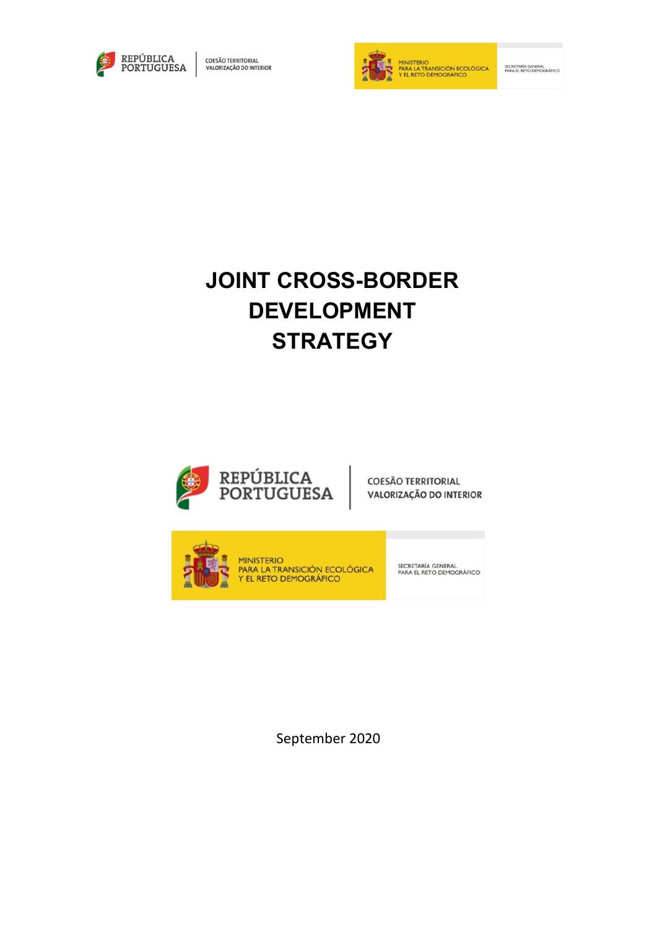



SECRETARÍA GENERAL<br>PARA EL RETO DEMOGRÁFICO

# **JOINT CROSS-BORDER DEVELOPMENT STRATEGY**



**COESÃO TERRITORIAL** VALORIZAÇÃO DO INTERIOR



**MINISTERIO PARA LA TRANSICIÓN ECOLÓGICA**<br>Y EL RETO DEMOGRÁFICO

SECRETARÍA GENERAL<br>PARA EL RETO DEMOGRÁFICO

September 2020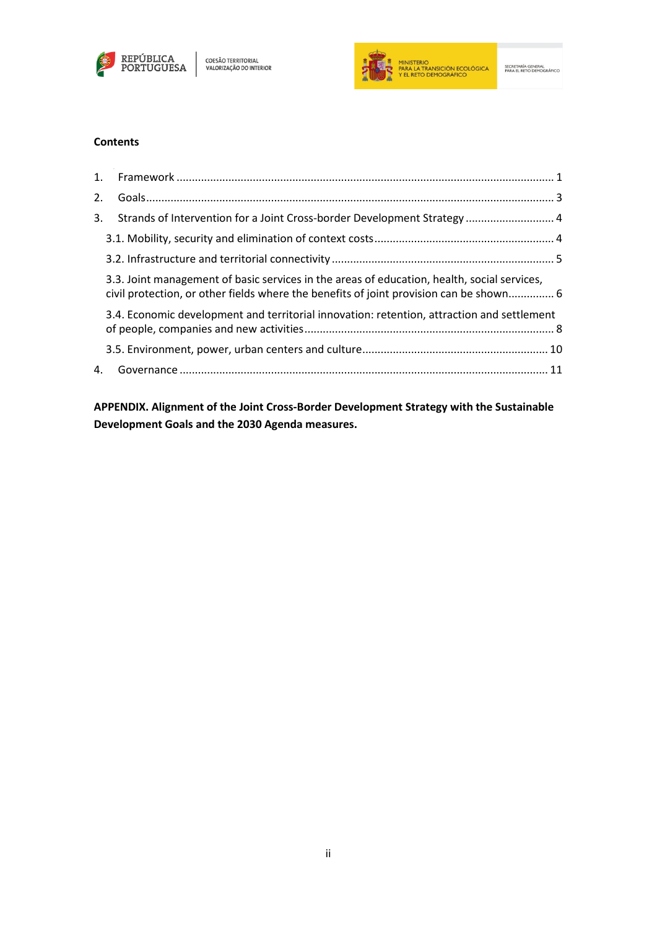



## **Contents**

| 2. |                                                                                                                                                                                       |  |
|----|---------------------------------------------------------------------------------------------------------------------------------------------------------------------------------------|--|
| 3. | Strands of Intervention for a Joint Cross-border Development Strategy  4                                                                                                              |  |
|    |                                                                                                                                                                                       |  |
|    |                                                                                                                                                                                       |  |
|    | 3.3. Joint management of basic services in the areas of education, health, social services,<br>civil protection, or other fields where the benefits of joint provision can be shown 6 |  |
|    | 3.4. Economic development and territorial innovation: retention, attraction and settlement                                                                                            |  |
|    |                                                                                                                                                                                       |  |
|    |                                                                                                                                                                                       |  |

**APPENDIX. Alignment of the Joint Cross-Border Development Strategy with the Sustainable Development Goals and the 2030 Agenda measures.**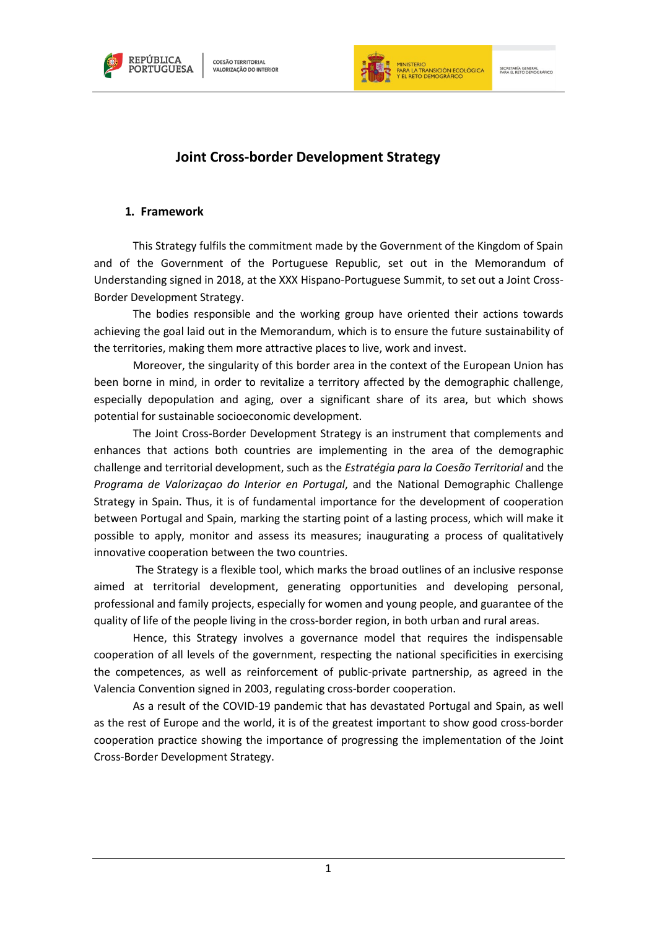



# **Joint Cross-border Development Strategy**

## **1. Framework**

<span id="page-2-0"></span>This Strategy fulfils the commitment made by the Government of the Kingdom of Spain and of the Government of the Portuguese Republic, set out in the Memorandum of Understanding signed in 2018, at the XXX Hispano-Portuguese Summit, to set out a Joint Cross-Border Development Strategy.

The bodies responsible and the working group have oriented their actions towards achieving the goal laid out in the Memorandum, which is to ensure the future sustainability of the territories, making them more attractive places to live, work and invest.

Moreover, the singularity of this border area in the context of the European Union has been borne in mind, in order to revitalize a territory affected by the demographic challenge, especially depopulation and aging, over a significant share of its area, but which shows potential for sustainable socioeconomic development.

The Joint Cross-Border Development Strategy is an instrument that complements and enhances that actions both countries are implementing in the area of the demographic challenge and territorial development, such as the *Estratégia para la Coesão Territorial* and the *Programa de Valorizaçao do Interior en Portugal*, and the National Demographic Challenge Strategy in Spain. Thus, it is of fundamental importance for the development of cooperation between Portugal and Spain, marking the starting point of a lasting process, which will make it possible to apply, monitor and assess its measures; inaugurating a process of qualitatively innovative cooperation between the two countries.

The Strategy is a flexible tool, which marks the broad outlines of an inclusive response aimed at territorial development, generating opportunities and developing personal, professional and family projects, especially for women and young people, and guarantee of the quality of life of the people living in the cross-border region, in both urban and rural areas.

Hence, this Strategy involves a governance model that requires the indispensable cooperation of all levels of the government, respecting the national specificities in exercising the competences, as well as reinforcement of public-private partnership, as agreed in the Valencia Convention signed in 2003, regulating cross-border cooperation.

As a result of the COVID-19 pandemic that has devastated Portugal and Spain, as well as the rest of Europe and the world, it is of the greatest important to show good cross-border cooperation practice showing the importance of progressing the implementation of the Joint Cross-Border Development Strategy.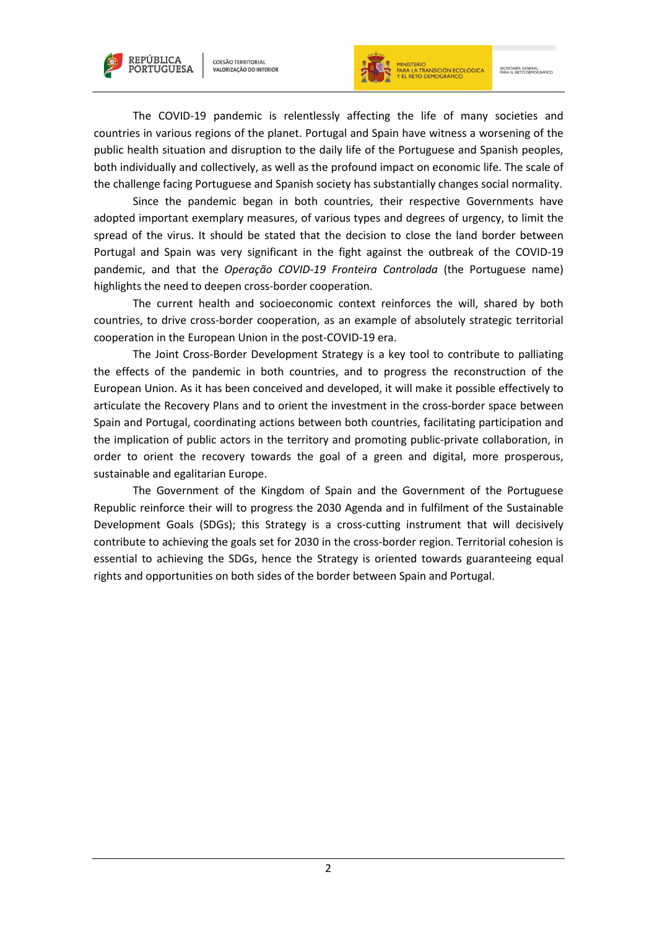



The COVID-19 pandemic is relentlessly affecting the life of many societies and countries in various regions of the planet. Portugal and Spain have witness a worsening of the public health situation and disruption to the daily life of the Portuguese and Spanish peoples, both individually and collectively, as well as the profound impact on economic life. The scale of the challenge facing Portuguese and Spanish society has substantially changes social normality.

Since the pandemic began in both countries, their respective Governments have adopted important exemplary measures, of various types and degrees of urgency, to limit the spread of the virus. It should be stated that the decision to close the land border between Portugal and Spain was very significant in the fight against the outbreak of the COVID-19 pandemic, and that the *Operação COVID-19 Fronteira Controlada* (the Portuguese name) highlights the need to deepen cross-border cooperation.

The current health and socioeconomic context reinforces the will, shared by both countries, to drive cross-border cooperation, as an example of absolutely strategic territorial cooperation in the European Union in the post-COVID-19 era.

The Joint Cross-Border Development Strategy is a key tool to contribute to palliating the effects of the pandemic in both countries, and to progress the reconstruction of the European Union. As it has been conceived and developed, it will make it possible effectively to articulate the Recovery Plans and to orient the investment in the cross-border space between Spain and Portugal, coordinating actions between both countries, facilitating participation and the implication of public actors in the territory and promoting public-private collaboration, in order to orient the recovery towards the goal of a green and digital, more prosperous, sustainable and egalitarian Europe.

The Government of the Kingdom of Spain and the Government of the Portuguese Republic reinforce their will to progress the 2030 Agenda and in fulfilment of the Sustainable Development Goals (SDGs); this Strategy is a cross-cutting instrument that will decisively contribute to achieving the goals set for 2030 in the cross-border region. Territorial cohesion is essential to achieving the SDGs, hence the Strategy is oriented towards guaranteeing equal rights and opportunities on both sides of the border between Spain and Portugal.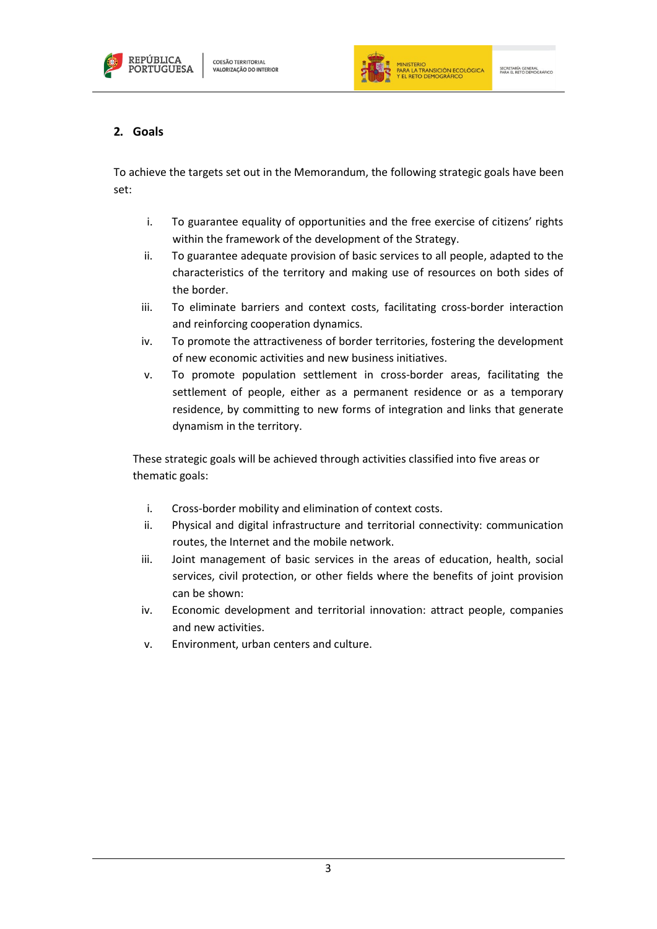



# <span id="page-4-0"></span>**2. Goals**

To achieve the targets set out in the Memorandum, the following strategic goals have been set:

- i. To guarantee equality of opportunities and the free exercise of citizens' rights within the framework of the development of the Strategy.
- ii. To guarantee adequate provision of basic services to all people, adapted to the characteristics of the territory and making use of resources on both sides of the border.
- iii. To eliminate barriers and context costs, facilitating cross-border interaction and reinforcing cooperation dynamics.
- iv. To promote the attractiveness of border territories, fostering the development of new economic activities and new business initiatives.
- v. To promote population settlement in cross-border areas, facilitating the settlement of people, either as a permanent residence or as a temporary residence, by committing to new forms of integration and links that generate dynamism in the territory.

These strategic goals will be achieved through activities classified into five areas or thematic goals:

- i. Cross-border mobility and elimination of context costs.
- ii. Physical and digital infrastructure and territorial connectivity: communication routes, the Internet and the mobile network.
- iii. Joint management of basic services in the areas of education, health, social services, civil protection, or other fields where the benefits of joint provision can be shown:
- iv. Economic development and territorial innovation: attract people, companies and new activities.
- v. Environment, urban centers and culture.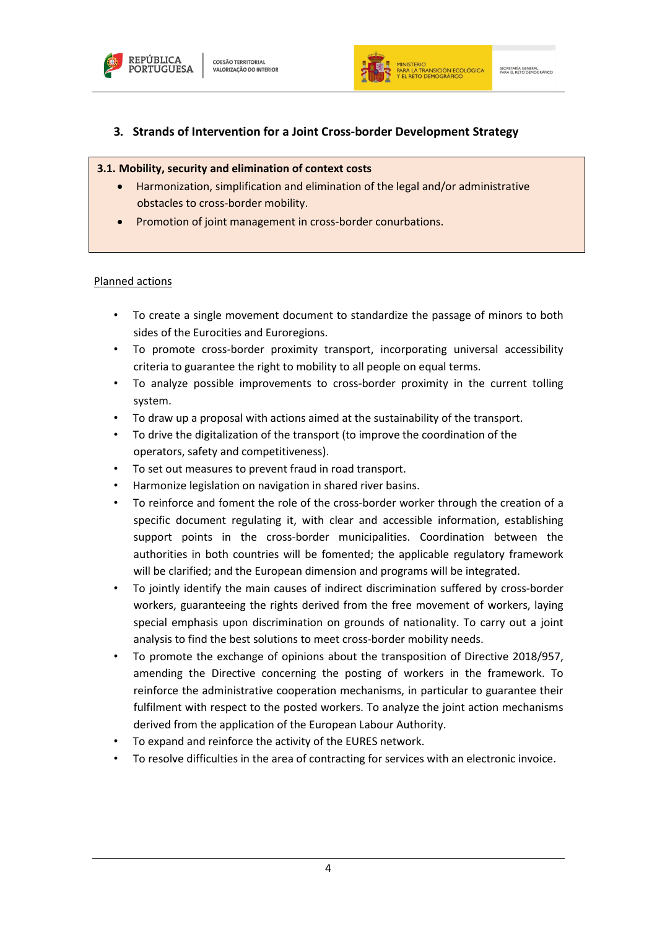



# <span id="page-5-0"></span>**3. Strands of Intervention for a Joint Cross-border Development Strategy**

#### **3.1. Mobility, security and elimination of context costs**

- Harmonization, simplification and elimination of the legal and/or administrative obstacles to cross-border mobility.
- Promotion of joint management in cross-border conurbations.

- To create a single movement document to standardize the passage of minors to both sides of the Eurocities and Euroregions.
- To promote cross-border proximity transport, incorporating universal accessibility criteria to guarantee the right to mobility to all people on equal terms.
- To analyze possible improvements to cross-border proximity in the current tolling system.
- To draw up a proposal with actions aimed at the sustainability of the transport.
- To drive the digitalization of the transport (to improve the coordination of the operators, safety and competitiveness).
- To set out measures to prevent fraud in road transport.
- Harmonize legislation on navigation in shared river basins.
- To reinforce and foment the role of the cross-border worker through the creation of a specific document regulating it, with clear and accessible information, establishing support points in the cross-border municipalities. Coordination between the authorities in both countries will be fomented; the applicable regulatory framework will be clarified; and the European dimension and programs will be integrated.
- To jointly identify the main causes of indirect discrimination suffered by cross-border workers, guaranteeing the rights derived from the free movement of workers, laying special emphasis upon discrimination on grounds of nationality. To carry out a joint analysis to find the best solutions to meet cross-border mobility needs.
- To promote the exchange of opinions about the transposition of Directive 2018/957, amending the Directive concerning the posting of workers in the framework. To reinforce the administrative cooperation mechanisms, in particular to guarantee their fulfilment with respect to the posted workers. To analyze the joint action mechanisms derived from the application of the European Labour Authority.
- To expand and reinforce the activity of the EURES network.
- To resolve difficulties in the area of contracting for services with an electronic invoice.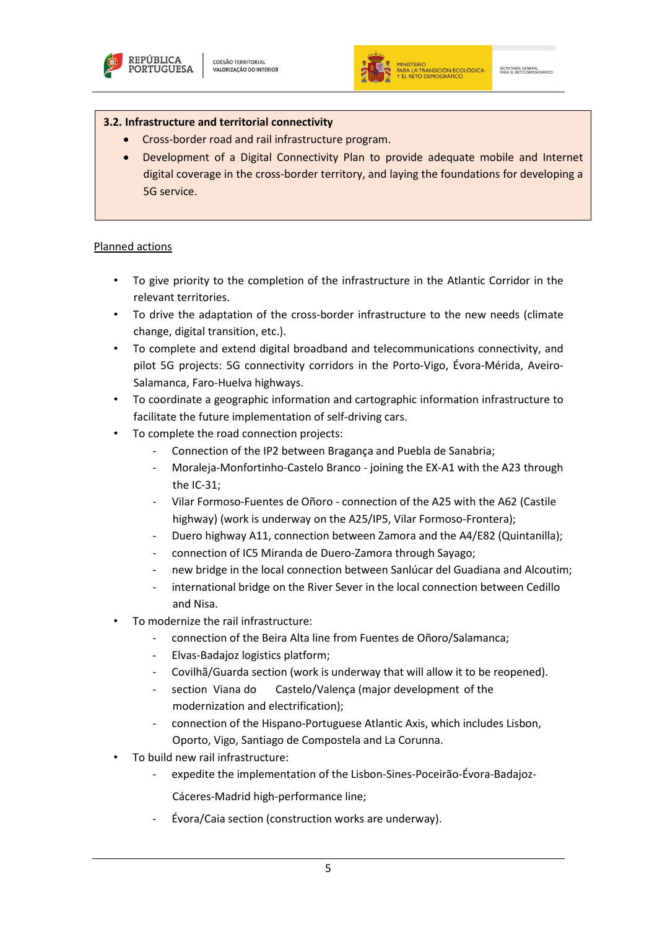



#### **3.2. Infrastructure and territorial connectivity**

- Cross-border road and rail infrastructure program.
- Development of a Digital Connectivity Plan to provide adequate mobile and Internet digital coverage in the cross-border territory, and laying the foundations for developing a 5G service.

- To give priority to the completion of the infrastructure in the Atlantic Corridor in the relevant territories.
- To drive the adaptation of the cross-border infrastructure to the new needs (climate change, digital transition, etc.).
- To complete and extend digital broadband and telecommunications connectivity, and pilot 5G projects: 5G connectivity corridors in the Porto-Vigo, Évora-Mérida, Aveiro-Salamanca, Faro-Huelva highways.
- To coordinate a geographic information and cartographic information infrastructure to facilitate the future implementation of self-driving cars.
- To complete the road connection projects:
	- Connection of the IP2 between Bragança and Puebla de Sanabria;
	- Moraleja-Monfortinho-Castelo Branco joining the EX-A1 with the A23 through the IC-31;
	- Vilar Formoso-Fuentes de Oñoro connection of the A25 with the A62 (Castile highway) (work is underway on the A25/IP5, Vilar Formoso-Frontera);
	- Duero highway A11, connection between Zamora and the A4/E82 (Quintanilla);
	- connection of IC5 Miranda de Duero-Zamora through Sayago;
	- new bridge in the local connection between Sanlúcar del Guadiana and Alcoutim;
	- international bridge on the River Sever in the local connection between Cedillo and Nisa.
- To modernize the rail infrastructure:
	- connection of the Beira Alta line from Fuentes de Oñoro/Salamanca;
	- Elvas-Badajoz logistics platform;
	- Covilhã/Guarda section (work is underway that will allow it to be reopened).
	- section Viana do Castelo/Valença (major development of the modernization and electrification);
	- connection of the Hispano-Portuguese Atlantic Axis, which includes Lisbon, Oporto, Vigo, Santiago de Compostela and La Corunna.
- To build new rail infrastructure:
	- expedite the implementation of the Lisbon-Sines-Poceirão-Évora-Badajoz-
		- Cáceres-Madrid high-performance line;
	- Évora/Caia section (construction works are underway).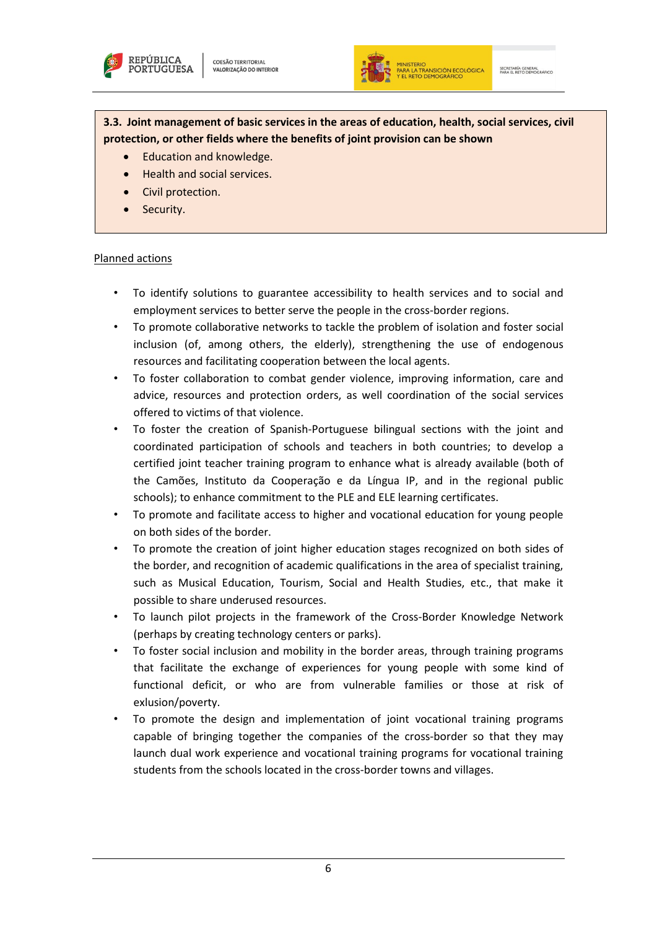



**3.3. Joint management of basic services in the areas of education, health, social services, civil protection, or other fields where the benefits of joint provision can be shown**

- Education and knowledge.
- Health and social services.
- Civil protection.
- Security.

- To identify solutions to guarantee accessibility to health services and to social and employment services to better serve the people in the cross-border regions.
- To promote collaborative networks to tackle the problem of isolation and foster social inclusion (of, among others, the elderly), strengthening the use of endogenous resources and facilitating cooperation between the local agents.
- To foster collaboration to combat gender violence, improving information, care and advice, resources and protection orders, as well coordination of the social services offered to victims of that violence.
- To foster the creation of Spanish-Portuguese bilingual sections with the joint and coordinated participation of schools and teachers in both countries; to develop a certified joint teacher training program to enhance what is already available (both of the Camões, Instituto da Cooperação e da Língua IP, and in the regional public schools); to enhance commitment to the PLE and ELE learning certificates.
- To promote and facilitate access to higher and vocational education for young people on both sides of the border.
- To promote the creation of joint higher education stages recognized on both sides of the border, and recognition of academic qualifications in the area of specialist training, such as Musical Education, Tourism, Social and Health Studies, etc., that make it possible to share underused resources.
- To launch pilot projects in the framework of the Cross-Border Knowledge Network (perhaps by creating technology centers or parks).
- To foster social inclusion and mobility in the border areas, through training programs that facilitate the exchange of experiences for young people with some kind of functional deficit, or who are from vulnerable families or those at risk of exlusion/poverty.
- To promote the design and implementation of joint vocational training programs capable of bringing together the companies of the cross-border so that they may launch dual work experience and vocational training programs for vocational training students from the schools located in the cross-border towns and villages.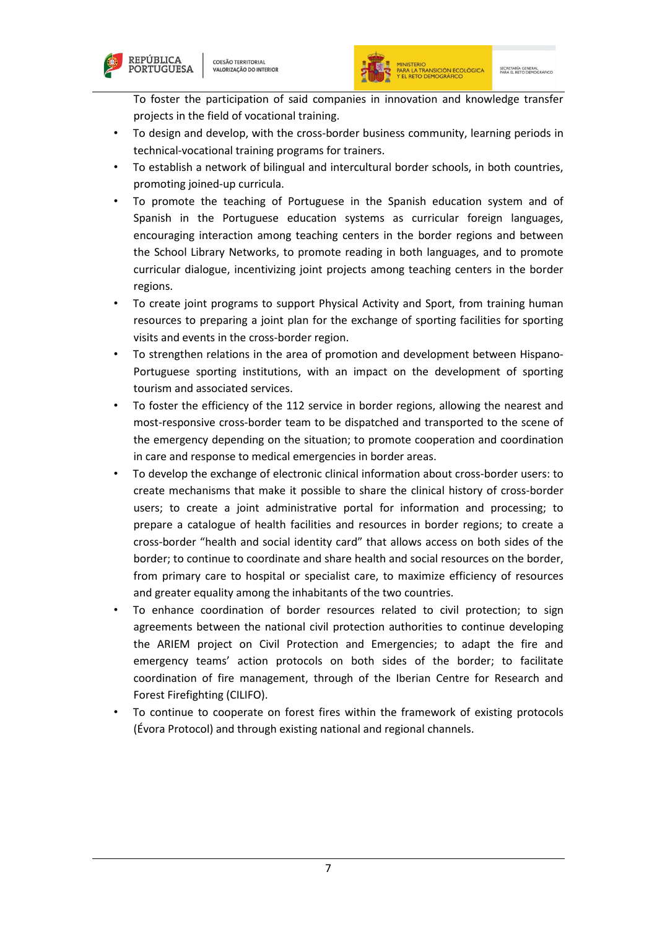



- To design and develop, with the cross-border business community, learning periods in technical-vocational training programs for trainers.
- To establish a network of bilingual and intercultural border schools, in both countries, promoting joined-up curricula.
- To promote the teaching of Portuguese in the Spanish education system and of Spanish in the Portuguese education systems as curricular foreign languages, encouraging interaction among teaching centers in the border regions and between the School Library Networks, to promote reading in both languages, and to promote curricular dialogue, incentivizing joint projects among teaching centers in the border regions.
- To create joint programs to support Physical Activity and Sport, from training human resources to preparing a joint plan for the exchange of sporting facilities for sporting visits and events in the cross-border region.
- To strengthen relations in the area of promotion and development between Hispano-Portuguese sporting institutions, with an impact on the development of sporting tourism and associated services.
- To foster the efficiency of the 112 service in border regions, allowing the nearest and most-responsive cross-border team to be dispatched and transported to the scene of the emergency depending on the situation; to promote cooperation and coordination in care and response to medical emergencies in border areas.
- To develop the exchange of electronic clinical information about cross-border users: to create mechanisms that make it possible to share the clinical history of cross-border users; to create a joint administrative portal for information and processing; to prepare a catalogue of health facilities and resources in border regions; to create a cross-border "health and social identity card" that allows access on both sides of the border; to continue to coordinate and share health and social resources on the border, from primary care to hospital or specialist care, to maximize efficiency of resources and greater equality among the inhabitants of the two countries.
- To enhance coordination of border resources related to civil protection; to sign agreements between the national civil protection authorities to continue developing the ARIEM project on Civil Protection and Emergencies; to adapt the fire and emergency teams' action protocols on both sides of the border; to facilitate coordination of fire management, through of the Iberian Centre for Research and Forest Firefighting (CILIFO).
- To continue to cooperate on forest fires within the framework of existing protocols (Évora Protocol) and through existing national and regional channels.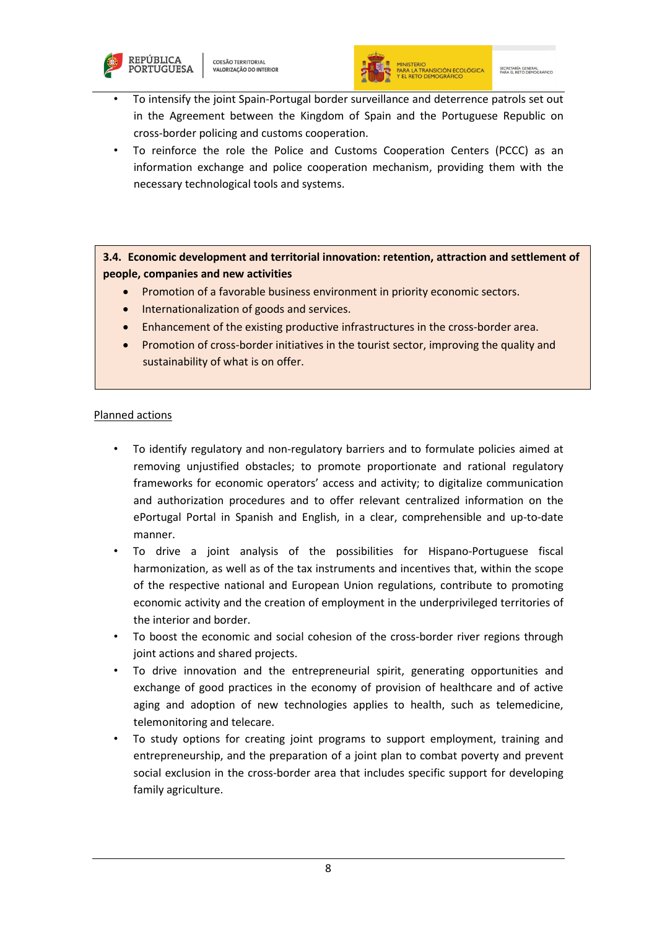



- To intensify the joint Spain-Portugal border surveillance and deterrence patrols set out in the Agreement between the Kingdom of Spain and the Portuguese Republic on cross-border policing and customs cooperation.
- To reinforce the role the Police and Customs Cooperation Centers (PCCC) as an information exchange and police cooperation mechanism, providing them with the necessary technological tools and systems.

**3.4. Economic development and territorial innovation: retention, attraction and settlement of people, companies and new activities**

- Promotion of a favorable business environment in priority economic sectors.
- Internationalization of goods and services.
- Enhancement of the existing productive infrastructures in the cross-border area.
- Promotion of cross-border initiatives in the tourist sector, improving the quality and sustainability of what is on offer.

- To identify regulatory and non-regulatory barriers and to formulate policies aimed at removing unjustified obstacles; to promote proportionate and rational regulatory frameworks for economic operators' access and activity; to digitalize communication and authorization procedures and to offer relevant centralized information on the ePortugal Portal in Spanish and English, in a clear, comprehensible and up-to-date manner.
- To drive a joint analysis of the possibilities for Hispano-Portuguese fiscal harmonization, as well as of the tax instruments and incentives that, within the scope of the respective national and European Union regulations, contribute to promoting economic activity and the creation of employment in the underprivileged territories of the interior and border.
- To boost the economic and social cohesion of the cross-border river regions through joint actions and shared projects.
- To drive innovation and the entrepreneurial spirit, generating opportunities and exchange of good practices in the economy of provision of healthcare and of active aging and adoption of new technologies applies to health, such as telemedicine, telemonitoring and telecare.
- To study options for creating joint programs to support employment, training and entrepreneurship, and the preparation of a joint plan to combat poverty and prevent social exclusion in the cross-border area that includes specific support for developing family agriculture.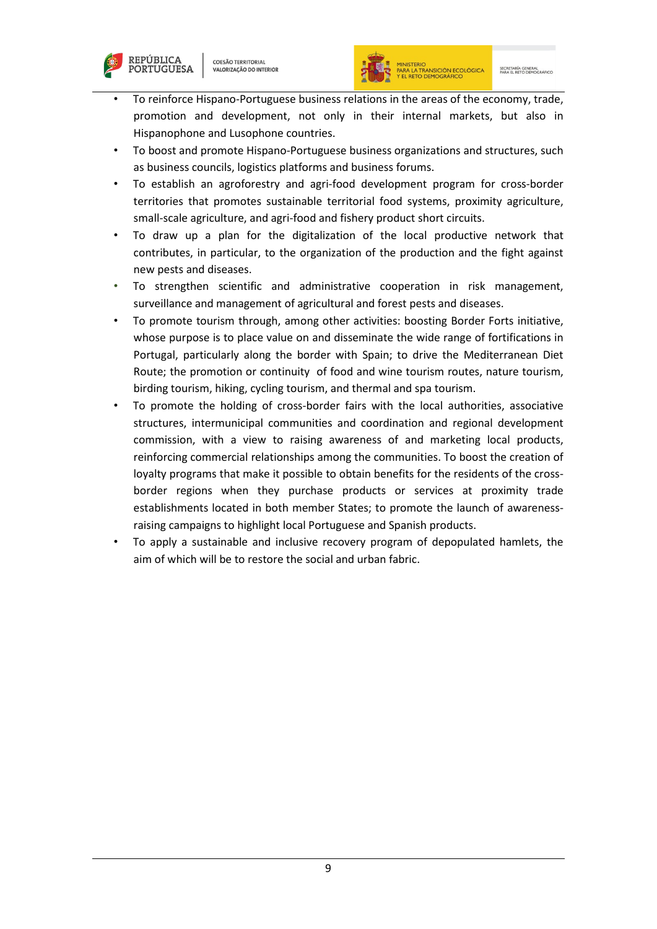



- To reinforce Hispano-Portuguese business relations in the areas of the economy, trade, promotion and development, not only in their internal markets, but also in Hispanophone and Lusophone countries.
- To boost and promote Hispano-Portuguese business organizations and structures, such as business councils, logistics platforms and business forums.
- To establish an agroforestry and agri-food development program for cross-border territories that promotes sustainable territorial food systems, proximity agriculture, small-scale agriculture, and agri-food and fishery product short circuits.
- To draw up a plan for the digitalization of the local productive network that contributes, in particular, to the organization of the production and the fight against new pests and diseases.
- To strengthen scientific and administrative cooperation in risk management, surveillance and management of agricultural and forest pests and diseases.
- To promote tourism through, among other activities: boosting Border Forts initiative, whose purpose is to place value on and disseminate the wide range of fortifications in Portugal, particularly along the border with Spain; to drive the Mediterranean Diet Route; the promotion or continuity of food and wine tourism routes, nature tourism, birding tourism, hiking, cycling tourism, and thermal and spa tourism.
- To promote the holding of cross-border fairs with the local authorities, associative structures, intermunicipal communities and coordination and regional development commission, with a view to raising awareness of and marketing local products, reinforcing commercial relationships among the communities. To boost the creation of loyalty programs that make it possible to obtain benefits for the residents of the crossborder regions when they purchase products or services at proximity trade establishments located in both member States; to promote the launch of awarenessraising campaigns to highlight local Portuguese and Spanish products.
- To apply a sustainable and inclusive recovery program of depopulated hamlets, the aim of which will be to restore the social and urban fabric.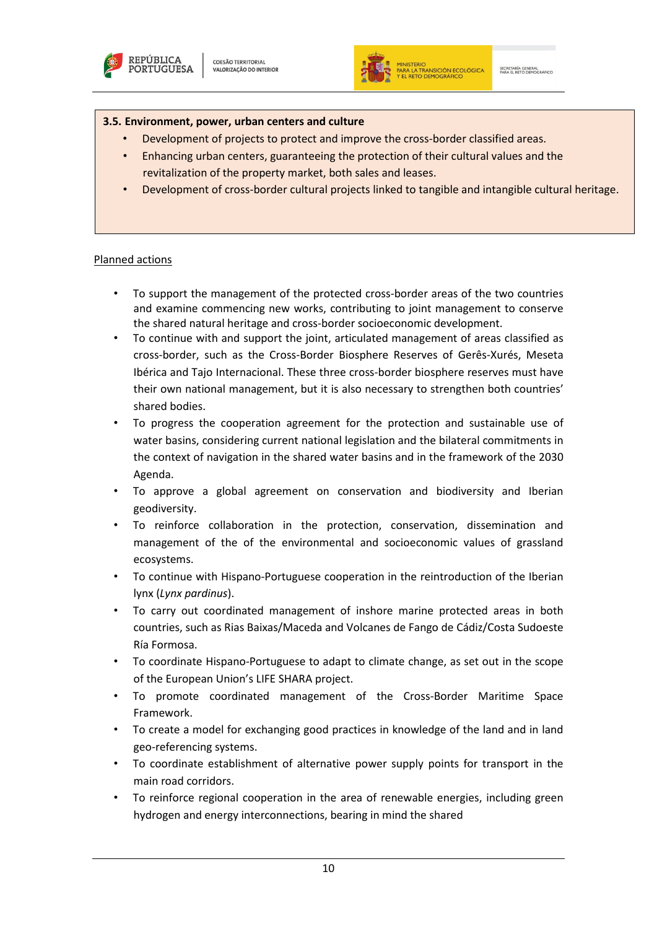



#### **3.5. Environment, power, urban centers and culture**

- Development of projects to protect and improve the cross-border classified areas.
- Enhancing urban centers, guaranteeing the protection of their cultural values and the revitalization of the property market, both sales and leases.
- Development of cross-border cultural projects linked to tangible and intangible cultural heritage.

- To support the management of the protected cross-border areas of the two countries and examine commencing new works, contributing to joint management to conserve the shared natural heritage and cross-border socioeconomic development.
- To continue with and support the joint, articulated management of areas classified as cross-border, such as the Cross-Border Biosphere Reserves of Gerês-Xurés, Meseta Ibérica and Tajo Internacional. These three cross-border biosphere reserves must have their own national management, but it is also necessary to strengthen both countries' shared bodies.
- To progress the cooperation agreement for the protection and sustainable use of water basins, considering current national legislation and the bilateral commitments in the context of navigation in the shared water basins and in the framework of the 2030 Agenda.
- To approve a global agreement on conservation and biodiversity and Iberian geodiversity.
- To reinforce collaboration in the protection, conservation, dissemination and management of the of the environmental and socioeconomic values of grassland ecosystems.
- To continue with Hispano-Portuguese cooperation in the reintroduction of the Iberian lynx (*Lynx pardinus*).
- To carry out coordinated management of inshore marine protected areas in both countries, such as Rias Baixas/Maceda and Volcanes de Fango de Cádiz/Costa Sudoeste Ría Formosa.
- To coordinate Hispano-Portuguese to adapt to climate change, as set out in the scope of the European Union's LIFE SHARA project.
- To promote coordinated management of the Cross-Border Maritime Space Framework.
- To create a model for exchanging good practices in knowledge of the land and in land geo-referencing systems.
- To coordinate establishment of alternative power supply points for transport in the main road corridors.
- To reinforce regional cooperation in the area of renewable energies, including green hydrogen and energy interconnections, bearing in mind the shared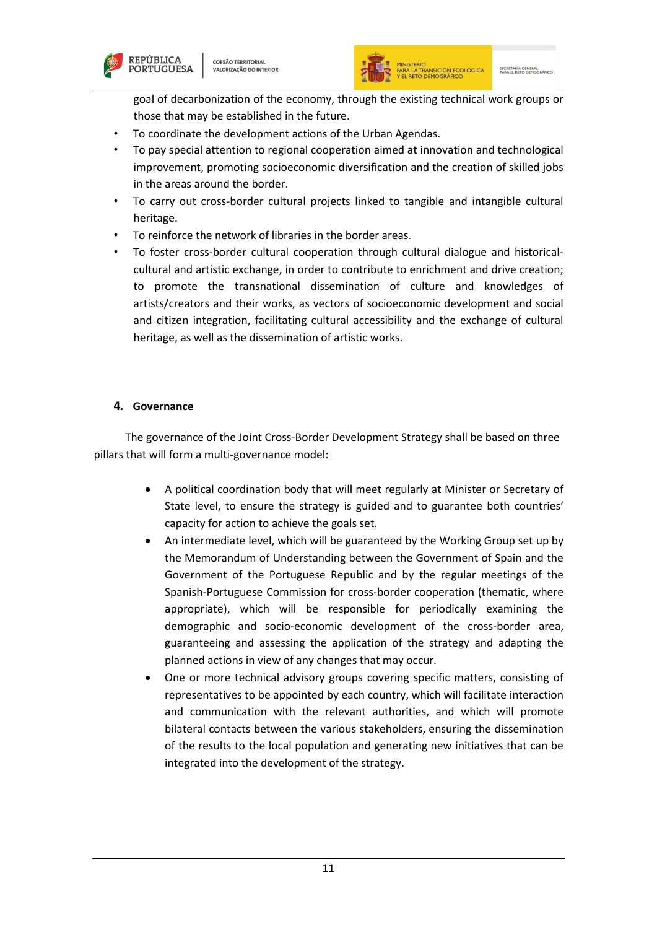



goal of decarbonization of the economy, through the existing technical work groups or those that may be established in the future.

- To coordinate the development actions of the Urban Agendas.
- To pay special attention to regional cooperation aimed at innovation and technological improvement, promoting socioeconomic diversification and the creation of skilled jobs in the areas around the border.
- To carry out cross-border cultural projects linked to tangible and intangible cultural heritage.
- To reinforce the network of libraries in the border areas.
- To foster cross-border cultural cooperation through cultural dialogue and historicalcultural and artistic exchange, in order to contribute to enrichment and drive creation; to promote the transnational dissemination of culture and knowledges of artists/creators and their works, as vectors of socioeconomic development and social and citizen integration, facilitating cultural accessibility and the exchange of cultural heritage, as well as the dissemination of artistic works.

## <span id="page-12-0"></span>**4. Governance**

The governance of the Joint Cross-Border Development Strategy shall be based on three pillars that will form a multi-governance model:

- A political coordination body that will meet regularly at Minister or Secretary of State level, to ensure the strategy is guided and to guarantee both countries' capacity for action to achieve the goals set.
- An intermediate level, which will be guaranteed by the Working Group set up by the Memorandum of Understanding between the Government of Spain and the Government of the Portuguese Republic and by the regular meetings of the Spanish-Portuguese Commission for cross-border cooperation (thematic, where appropriate), which will be responsible for periodically examining the demographic and socio-economic development of the cross-border area, guaranteeing and assessing the application of the strategy and adapting the planned actions in view of any changes that may occur.
- One or more technical advisory groups covering specific matters, consisting of representatives to be appointed by each country, which will facilitate interaction and communication with the relevant authorities, and which will promote bilateral contacts between the various stakeholders, ensuring the dissemination of the results to the local population and generating new initiatives that can be integrated into the development of the strategy.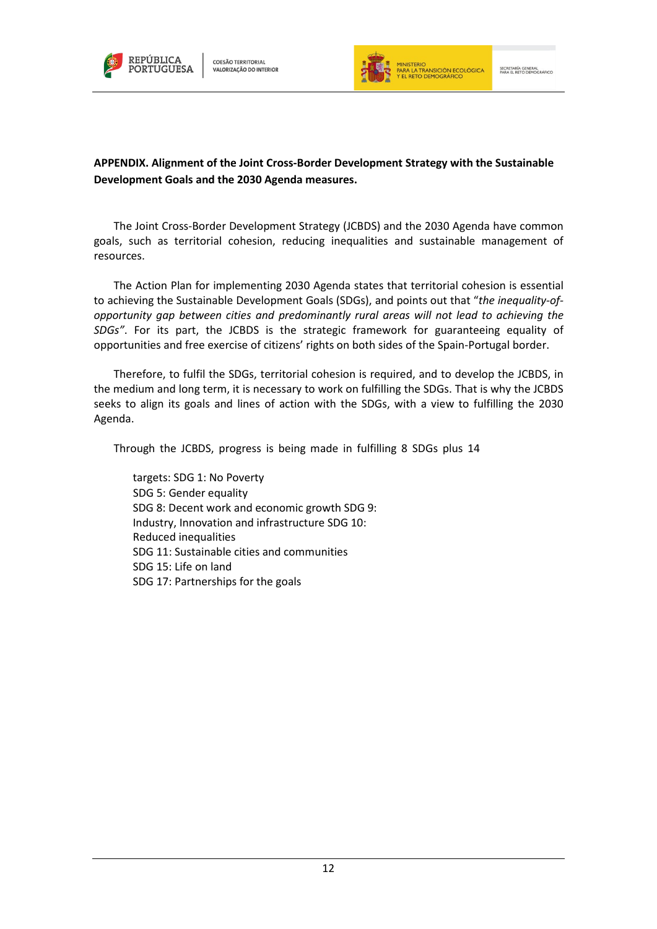



# **APPENDIX. Alignment of the Joint Cross-Border Development Strategy with the Sustainable Development Goals and the 2030 Agenda measures.**

The Joint Cross-Border Development Strategy (JCBDS) and the 2030 Agenda have common goals, such as territorial cohesion, reducing inequalities and sustainable management of resources.

The Action Plan for implementing 2030 Agenda states that territorial cohesion is essential to achieving the Sustainable Development Goals (SDGs), and points out that "*the inequality-ofopportunity gap between cities and predominantly rural areas will not lead to achieving the SDGs"*. For its part, the JCBDS is the strategic framework for guaranteeing equality of opportunities and free exercise of citizens' rights on both sides of the Spain-Portugal border.

Therefore, to fulfil the SDGs, territorial cohesion is required, and to develop the JCBDS, in the medium and long term, it is necessary to work on fulfilling the SDGs. That is why the JCBDS seeks to align its goals and lines of action with the SDGs, with a view to fulfilling the 2030 Agenda.

Through the JCBDS, progress is being made in fulfilling 8 SDGs plus 14

targets: SDG 1: No Poverty SDG 5: Gender equality SDG 8: Decent work and economic growth SDG 9: Industry, Innovation and infrastructure SDG 10: Reduced inequalities SDG 11: Sustainable cities and communities SDG 15: Life on land SDG 17: Partnerships for the goals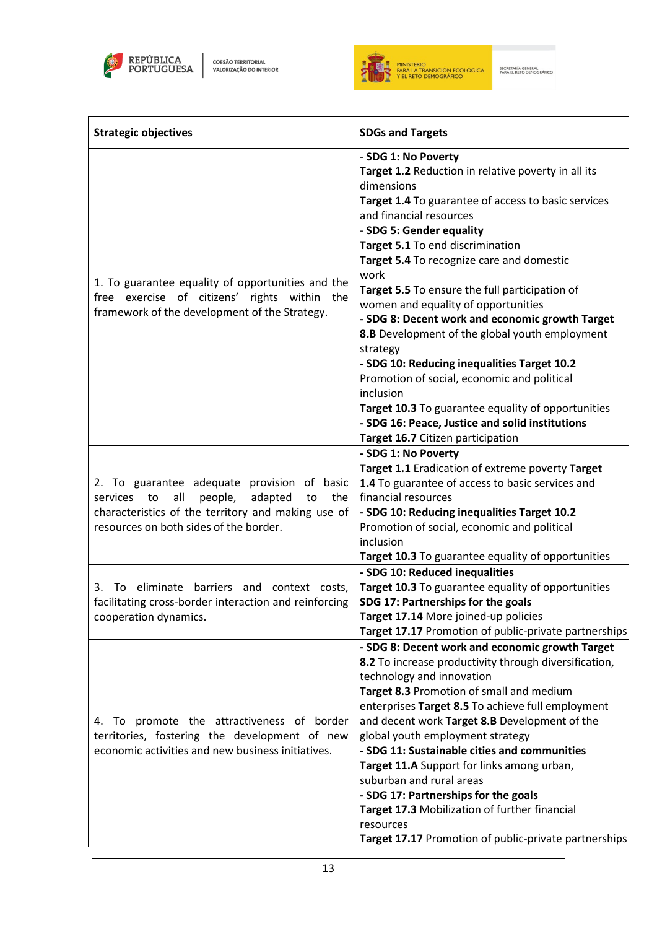



| <b>Strategic objectives</b>                                                                                                                                                                          | <b>SDGs and Targets</b>                                                                                                                                                                                                                                                                                                                                                                                                                                                                                                                                                                                                                                                                                                                                            |
|------------------------------------------------------------------------------------------------------------------------------------------------------------------------------------------------------|--------------------------------------------------------------------------------------------------------------------------------------------------------------------------------------------------------------------------------------------------------------------------------------------------------------------------------------------------------------------------------------------------------------------------------------------------------------------------------------------------------------------------------------------------------------------------------------------------------------------------------------------------------------------------------------------------------------------------------------------------------------------|
| 1. To guarantee equality of opportunities and the<br>free exercise of citizens' rights within the<br>framework of the development of the Strategy.                                                   | - SDG 1: No Poverty<br>Target 1.2 Reduction in relative poverty in all its<br>dimensions<br>Target 1.4 To guarantee of access to basic services<br>and financial resources<br>- SDG 5: Gender equality<br>Target 5.1 To end discrimination<br>Target 5.4 To recognize care and domestic<br>work<br>Target 5.5 To ensure the full participation of<br>women and equality of opportunities<br>- SDG 8: Decent work and economic growth Target<br>8.B Development of the global youth employment<br>strategy<br>- SDG 10: Reducing inequalities Target 10.2<br>Promotion of social, economic and political<br>inclusion<br>Target 10.3 To guarantee equality of opportunities<br>- SDG 16: Peace, Justice and solid institutions<br>Target 16.7 Citizen participation |
| 2. To guarantee adequate provision of basic<br>all<br>adapted<br>the<br>services to<br>people,<br>to<br>characteristics of the territory and making use of<br>resources on both sides of the border. | - SDG 1: No Poverty<br>Target 1.1 Eradication of extreme poverty Target<br>1.4 To guarantee of access to basic services and<br>financial resources<br>- SDG 10: Reducing inequalities Target 10.2<br>Promotion of social, economic and political<br>inclusion<br>Target 10.3 To guarantee equality of opportunities                                                                                                                                                                                                                                                                                                                                                                                                                                                |
| To eliminate barriers and context costs,<br>3.<br>facilitating cross-border interaction and reinforcing<br>cooperation dynamics.                                                                     | - SDG 10: Reduced inequalities<br>Target 10.3 To guarantee equality of opportunities<br>SDG 17: Partnerships for the goals<br>Target 17.14 More joined-up policies<br>Target 17.17 Promotion of public-private partnerships                                                                                                                                                                                                                                                                                                                                                                                                                                                                                                                                        |
| 4. To promote the attractiveness of border<br>territories, fostering the development of new<br>economic activities and new business initiatives.                                                     | - SDG 8: Decent work and economic growth Target<br>8.2 To increase productivity through diversification,<br>technology and innovation<br>Target 8.3 Promotion of small and medium<br>enterprises Target 8.5 To achieve full employment<br>and decent work Target 8.B Development of the<br>global youth employment strategy<br>- SDG 11: Sustainable cities and communities<br>Target 11.A Support for links among urban,<br>suburban and rural areas<br>- SDG 17: Partnerships for the goals<br>Target 17.3 Mobilization of further financial<br>resources<br>Target 17.17 Promotion of public-private partnerships                                                                                                                                               |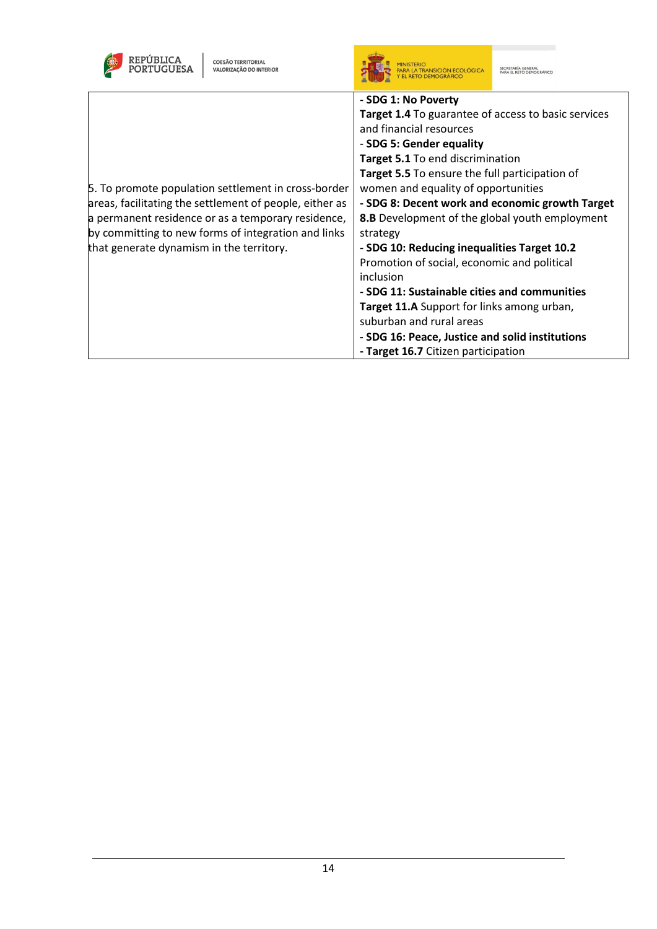| REPÚBLICA<br><b>COESÃO TERRITORIAL</b><br>VALORIZAÇÃO DO INTERIOR                                                                                                                                                                                                       |                                                                                                                                                                                                                                                                                                                                                                                                                                                                                                                                                                                                                                                                                                                              |
|-------------------------------------------------------------------------------------------------------------------------------------------------------------------------------------------------------------------------------------------------------------------------|------------------------------------------------------------------------------------------------------------------------------------------------------------------------------------------------------------------------------------------------------------------------------------------------------------------------------------------------------------------------------------------------------------------------------------------------------------------------------------------------------------------------------------------------------------------------------------------------------------------------------------------------------------------------------------------------------------------------------|
| 5. To promote population settlement in cross-border<br>areas, facilitating the settlement of people, either as<br>a permanent residence or as a temporary residence,<br>by committing to new forms of integration and links<br>that generate dynamism in the territory. | - SDG 1: No Poverty<br><b>Target 1.4</b> To guarantee of access to basic services<br>and financial resources<br>- SDG 5: Gender equality<br>Target 5.1 To end discrimination<br>Target 5.5 To ensure the full participation of<br>women and equality of opportunities<br>- SDG 8: Decent work and economic growth Target<br>8.B Development of the global youth employment<br>strategy<br>- SDG 10: Reducing inequalities Target 10.2<br>Promotion of social, economic and political<br>inclusion<br>- SDG 11: Sustainable cities and communities<br><b>Target 11.A</b> Support for links among urban,<br>suburban and rural areas<br>- SDG 16: Peace, Justice and solid institutions<br>- Target 16.7 Citizen participation |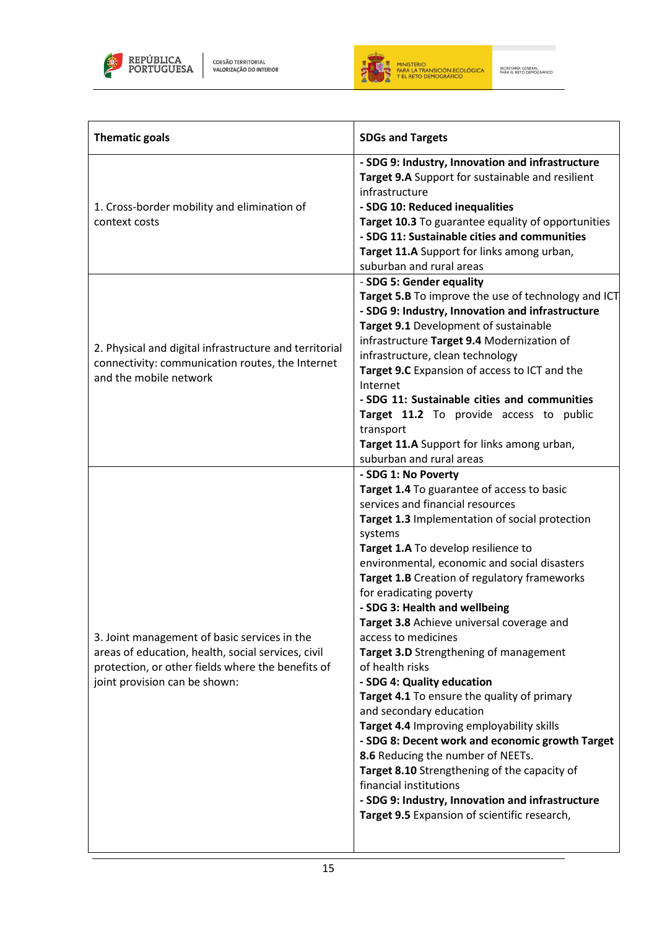



 $\equiv$ 

| <b>Thematic goals</b>                                                                                                                                                                    | <b>SDGs and Targets</b>                                                                                                                                                                                                                                                                                                                                                                                                                                                                                                                                                                                                                                                                                                                                                                                                                                                                                                           |
|------------------------------------------------------------------------------------------------------------------------------------------------------------------------------------------|-----------------------------------------------------------------------------------------------------------------------------------------------------------------------------------------------------------------------------------------------------------------------------------------------------------------------------------------------------------------------------------------------------------------------------------------------------------------------------------------------------------------------------------------------------------------------------------------------------------------------------------------------------------------------------------------------------------------------------------------------------------------------------------------------------------------------------------------------------------------------------------------------------------------------------------|
| 1. Cross-border mobility and elimination of<br>context costs                                                                                                                             | - SDG 9: Industry, Innovation and infrastructure<br>Target 9.A Support for sustainable and resilient<br>infrastructure<br>- SDG 10: Reduced inequalities<br>Target 10.3 To guarantee equality of opportunities<br>- SDG 11: Sustainable cities and communities<br>Target 11.A Support for links among urban,<br>suburban and rural areas                                                                                                                                                                                                                                                                                                                                                                                                                                                                                                                                                                                          |
| 2. Physical and digital infrastructure and territorial<br>connectivity: communication routes, the Internet<br>and the mobile network                                                     | - SDG 5: Gender equality<br>Target 5.B To improve the use of technology and ICT<br>- SDG 9: Industry, Innovation and infrastructure<br>Target 9.1 Development of sustainable<br>infrastructure Target 9.4 Modernization of<br>infrastructure, clean technology<br>Target 9.C Expansion of access to ICT and the<br>Internet<br>- SDG 11: Sustainable cities and communities<br>Target 11.2 To provide access to public<br>transport<br>Target 11.A Support for links among urban,<br>suburban and rural areas                                                                                                                                                                                                                                                                                                                                                                                                                     |
| 3. Joint management of basic services in the<br>areas of education, health, social services, civil<br>protection, or other fields where the benefits of<br>joint provision can be shown: | - SDG 1: No Poverty<br>Target 1.4 To guarantee of access to basic<br>services and financial resources<br>Target 1.3 Implementation of social protection<br>systems<br>Target 1.A To develop resilience to<br>environmental, economic and social disasters<br>Target 1.B Creation of regulatory frameworks<br>for eradicating poverty<br>- SDG 3: Health and wellbeing<br>Target 3.8 Achieve universal coverage and<br>access to medicines<br>Target 3.D Strengthening of management<br>of health risks<br>- SDG 4: Quality education<br>Target 4.1 To ensure the quality of primary<br>and secondary education<br>Target 4.4 Improving employability skills<br>- SDG 8: Decent work and economic growth Target<br>8.6 Reducing the number of NEETs.<br>Target 8.10 Strengthening of the capacity of<br>financial institutions<br>- SDG 9: Industry, Innovation and infrastructure<br>Target 9.5 Expansion of scientific research, |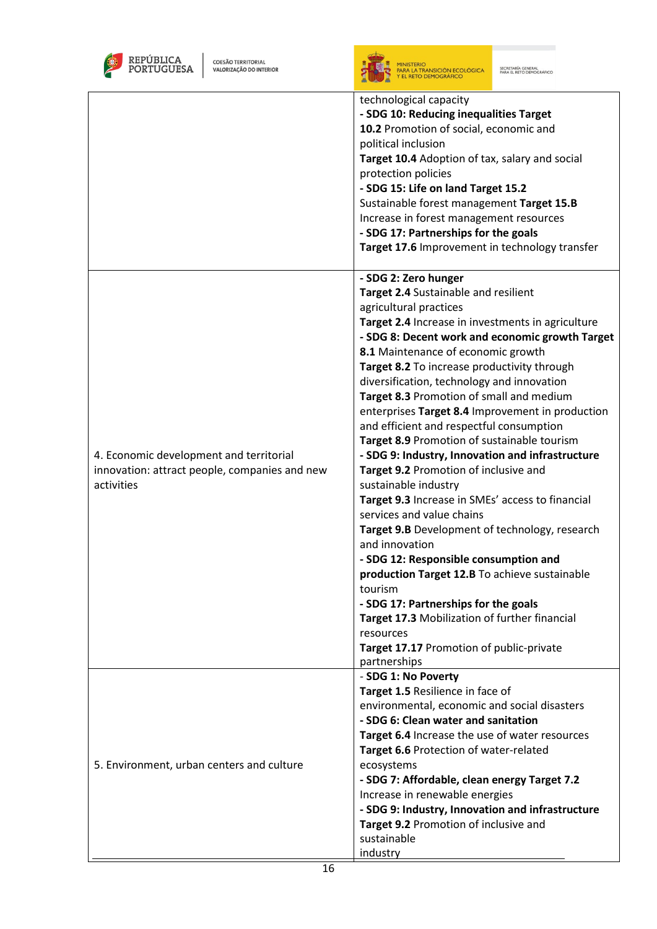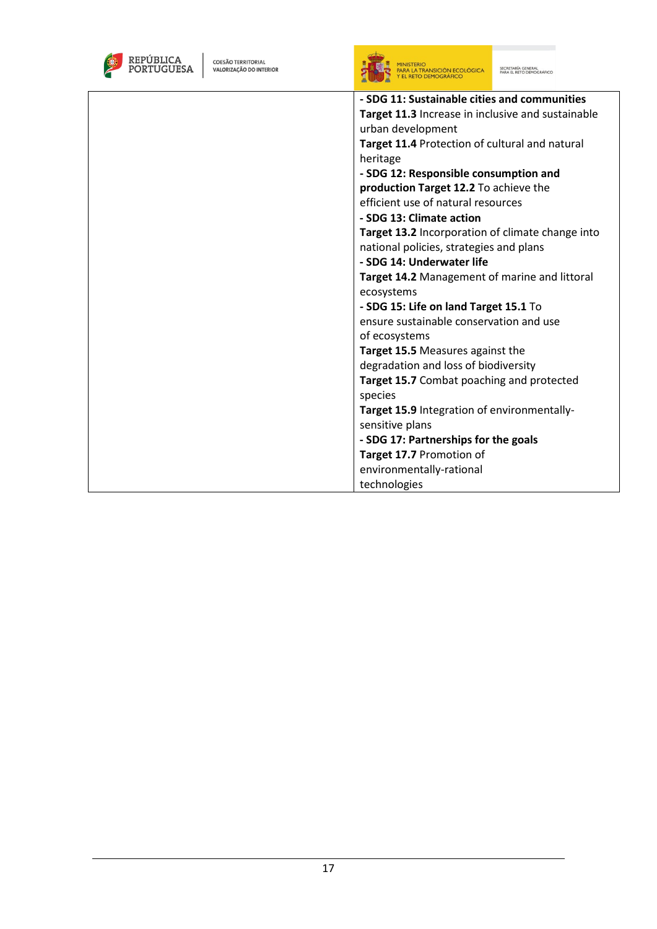| REPÚBLICA<br><b>COESÃO TERRITORIAL</b><br>VALORIZAÇÃO DO INTERIOR | SECRETARÍA GENERAL<br>PARA EL RETO DEMOGRÁFICO<br>PARA LA TRANSICIÓN ECOLÓGICA<br>Y EL RETO DEMOGRÁFICO |
|-------------------------------------------------------------------|---------------------------------------------------------------------------------------------------------|
|                                                                   | - SDG 11: Sustainable cities and communities                                                            |
|                                                                   | Target 11.3 Increase in inclusive and sustainable                                                       |
|                                                                   | urban development                                                                                       |
|                                                                   | Target 11.4 Protection of cultural and natural                                                          |
|                                                                   | heritage                                                                                                |
|                                                                   | - SDG 12: Responsible consumption and                                                                   |
|                                                                   | production Target 12.2 To achieve the                                                                   |
|                                                                   | efficient use of natural resources                                                                      |
|                                                                   | - SDG 13: Climate action                                                                                |
|                                                                   | Target 13.2 Incorporation of climate change into                                                        |
|                                                                   | national policies, strategies and plans                                                                 |
|                                                                   | - SDG 14: Underwater life                                                                               |
|                                                                   | Target 14.2 Management of marine and littoral                                                           |
|                                                                   | ecosystems                                                                                              |
|                                                                   | - SDG 15: Life on land Target 15.1 To                                                                   |
|                                                                   | ensure sustainable conservation and use                                                                 |
|                                                                   | of ecosystems                                                                                           |
|                                                                   | Target 15.5 Measures against the                                                                        |
|                                                                   | degradation and loss of biodiversity                                                                    |
|                                                                   | Target 15.7 Combat poaching and protected                                                               |
|                                                                   | species                                                                                                 |
|                                                                   | Target 15.9 Integration of environmentally-                                                             |
|                                                                   | sensitive plans                                                                                         |
|                                                                   | - SDG 17: Partnerships for the goals                                                                    |
|                                                                   | Target 17.7 Promotion of                                                                                |
|                                                                   | environmentally-rational                                                                                |
|                                                                   | technologies                                                                                            |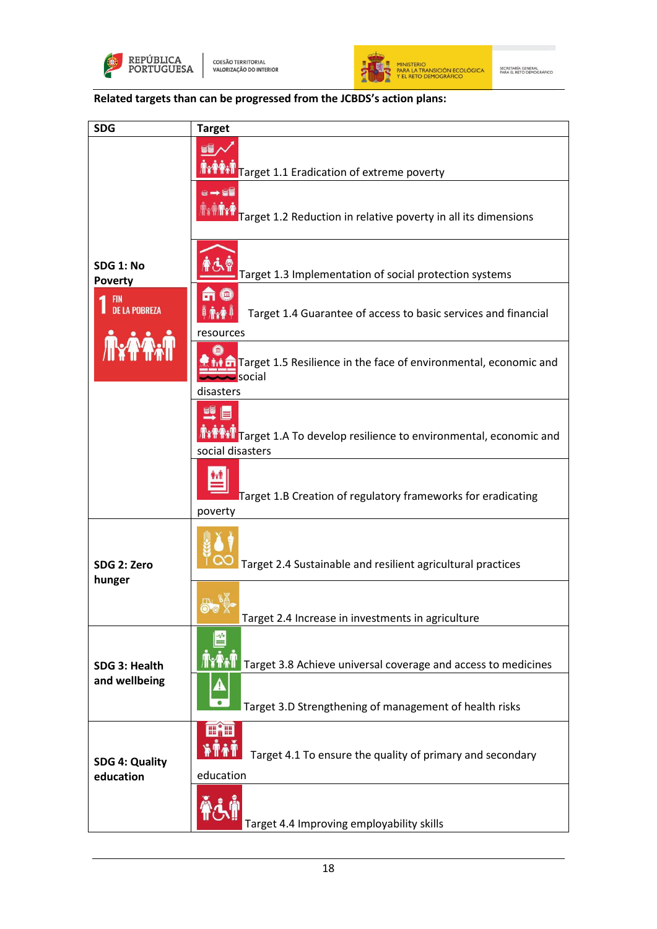



**Related targets than can be progressed from the JCBDS's action plans:**

| <b>SDG</b>                         | <b>Target</b>                                                                                    |
|------------------------------------|--------------------------------------------------------------------------------------------------|
|                                    | EE<br>Target 1.1 Eradication of extreme poverty                                                  |
|                                    | 8➡8<br>Target 1.2 Reduction in relative poverty in all its dimensions                            |
| <b>SDG 1: No</b><br><b>Poverty</b> | Target 1.3 Implementation of social protection systems                                           |
| FIN<br><b>DE LA POBREZA</b>        | m<br>Target 1.4 Guarantee of access to basic services and financial<br>resources                 |
|                                    | <b>T</b> Target 1.5 Resilience in the face of environmental, economic and<br>social<br>disasters |
|                                    | EQ<br>Target 1.A To develop resilience to environmental, economic and<br>social disasters        |
|                                    | Target 1.B Creation of regulatory frameworks for eradicating<br>poverty                          |
| SDG 2: Zero<br>hunger              | Target 2.4 Sustainable and resilient agricultural practices                                      |
|                                    | Target 2.4 Increase in investments in agriculture                                                |
| SDG 3: Health                      | Target 3.8 Achieve universal coverage and access to medicines                                    |
| and wellbeing                      | 4<br>Target 3.D Strengthening of management of health risks                                      |
| <b>SDG 4: Quality</b><br>education | 画细<br>Target 4.1 To ensure the quality of primary and secondary<br>education                     |
|                                    | Target 4.4 Improving employability skills                                                        |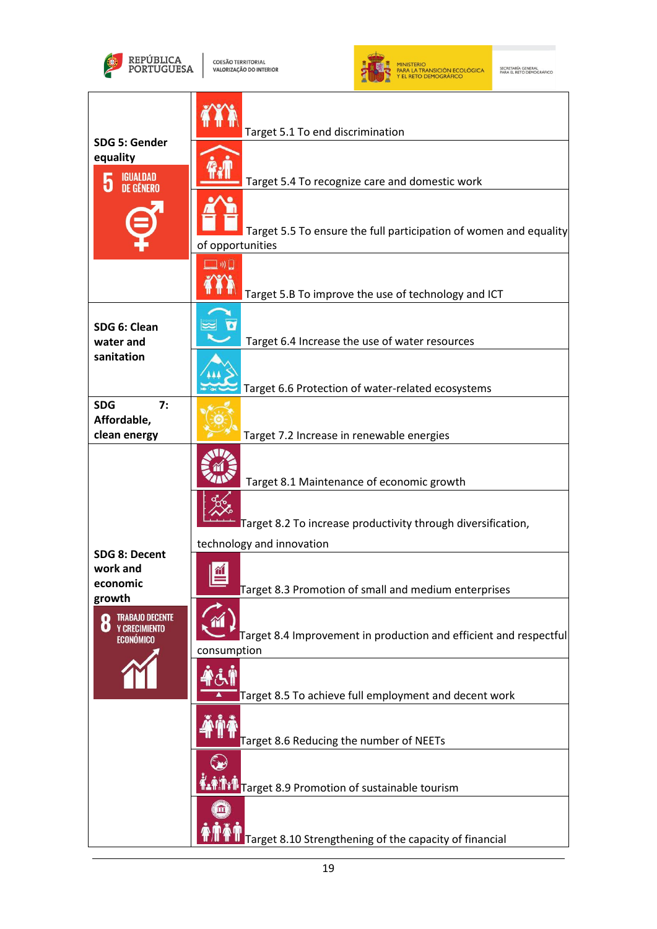



| SDG 5: Gender                                                           | Target 5.1 To end discrimination                                                      |
|-------------------------------------------------------------------------|---------------------------------------------------------------------------------------|
| equality                                                                |                                                                                       |
| <b>IGUALDAD</b><br>5                                                    | Target 5.4 To recognize care and domestic work                                        |
|                                                                         | Target 5.5 To ensure the full participation of women and equality<br>of opportunities |
|                                                                         | $\ket{0}$<br>Target 5.B To improve the use of technology and ICT                      |
| SDG 6: Clean<br>water and                                               | Target 6.4 Increase the use of water resources                                        |
| sanitation                                                              | Target 6.6 Protection of water-related ecosystems                                     |
| 7:<br><b>SDG</b><br>Affordable,<br>clean energy                         | Target 7.2 Increase in renewable energies                                             |
|                                                                         | Target 8.1 Maintenance of economic growth                                             |
|                                                                         | Target 8.2 To increase productivity through diversification,                          |
| SDG 8: Decent                                                           | technology and innovation                                                             |
| work and<br>economic<br>growth                                          | Target 8.3 Promotion of small and medium enterprises                                  |
| <b>TRABAJO DECENTE</b><br>O<br><b>Y CRECIMIENTO</b><br><b>ECONÓMICO</b> | Target 8.4 Improvement in production and efficient and respectful<br>consumption      |
|                                                                         | Target 8.5 To achieve full employment and decent work                                 |
|                                                                         | Target 8.6 Reducing the number of NEETs                                               |
|                                                                         | Target 8.9 Promotion of sustainable tourism                                           |
|                                                                         | Target 8.10 Strengthening of the capacity of financial                                |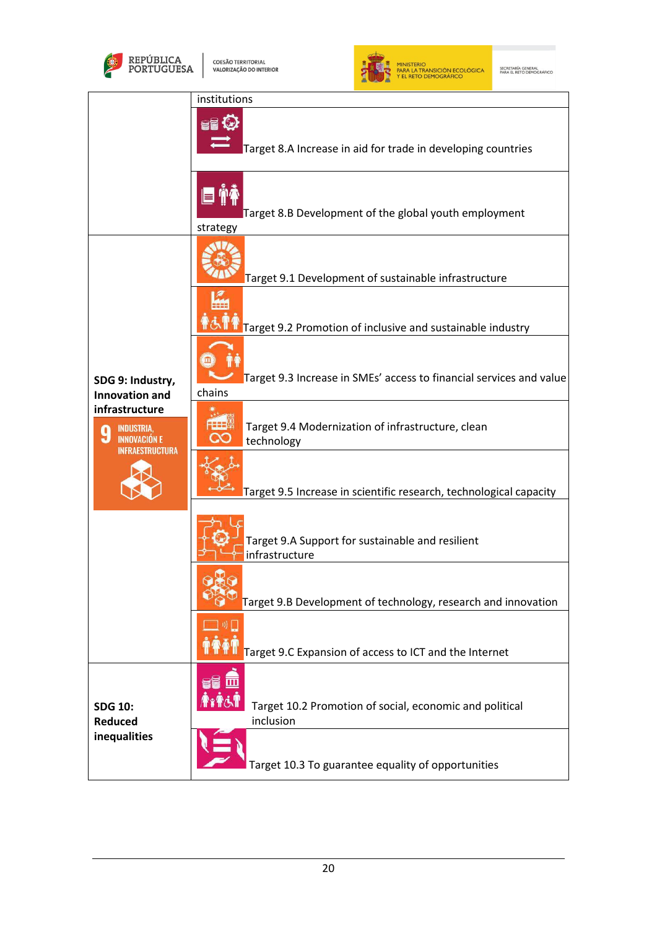



|                                                                              | institutions                                                                     |
|------------------------------------------------------------------------------|----------------------------------------------------------------------------------|
|                                                                              | Target 8.A Increase in aid for trade in developing countries                     |
|                                                                              | <b>E 14</b><br>Target 8.B Development of the global youth employment<br>strategy |
|                                                                              | Target 9.1 Development of sustainable infrastructure                             |
|                                                                              | Target 9.2 Promotion of inclusive and sustainable industry                       |
| SDG 9: Industry,<br><b>Innovation and</b>                                    | Target 9.3 Increase in SMEs' access to financial services and value<br>chains    |
| infrastructure<br><b>INDUSTRIA</b><br><b>INNOVACION F</b><br>INFRAFSTRUCTURA | Target 9.4 Modernization of infrastructure, clean<br>technology                  |
|                                                                              | Target 9.5 Increase in scientific research, technological capacity               |
|                                                                              | Target 9.A Support for sustainable and resilient<br>infrastructure               |
|                                                                              | Target 9.B Development of technology, research and innovation                    |
|                                                                              | Target 9.C Expansion of access to ICT and the Internet                           |
| <b>SDG 10:</b><br><b>Reduced</b>                                             | Target 10.2 Promotion of social, economic and political<br>inclusion             |
| inequalities                                                                 | Target 10.3 To guarantee equality of opportunities                               |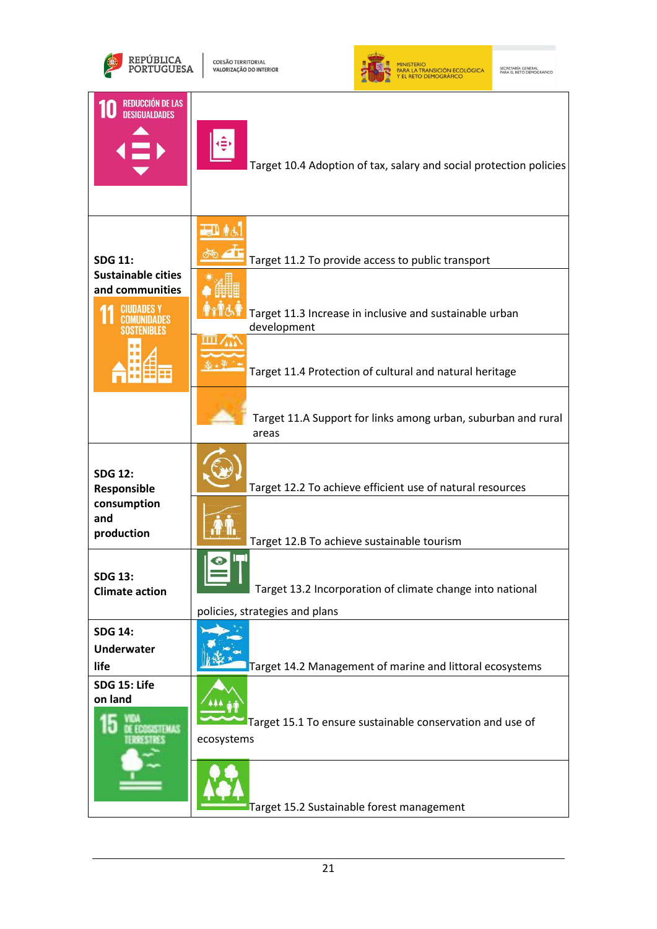



| <b>REDUCCIÓN DE LAS</b><br><b>DESIGUALDADES</b>                              | Target 10.4 Adoption of tax, salary and social protection policies                                                   |
|------------------------------------------------------------------------------|----------------------------------------------------------------------------------------------------------------------|
| <b>SDG 11:</b><br><b>Sustainable cities</b><br>and communities<br>CIUDADES Y | Target 11.2 To provide access to public transport<br>Target 11.3 Increase in inclusive and sustainable urban         |
|                                                                              | development<br>Target 11.4 Protection of cultural and natural heritage                                               |
|                                                                              | Target 11.A Support for links among urban, suburban and rural<br>areas                                               |
| <b>SDG 12:</b><br>Responsible                                                | Target 12.2 To achieve efficient use of natural resources                                                            |
| consumption<br>and<br>production                                             | Target 12.B To achieve sustainable tourism                                                                           |
| <b>SDG 13:</b><br><b>Climate action</b>                                      | Target 13.2 Incorporation of climate change into national<br>policies, strategies and plans                          |
| <b>SDG 14:</b><br><b>Underwater</b><br>life                                  | Target 14.2 Management of marine and littoral ecosystems                                                             |
| SDG 15: Life<br>on land<br><b>COSESTINAS</b><br>112.7 123.7                  | Target 15.1 To ensure sustainable conservation and use of<br>ecosystems<br>Target 15.2 Sustainable forest management |